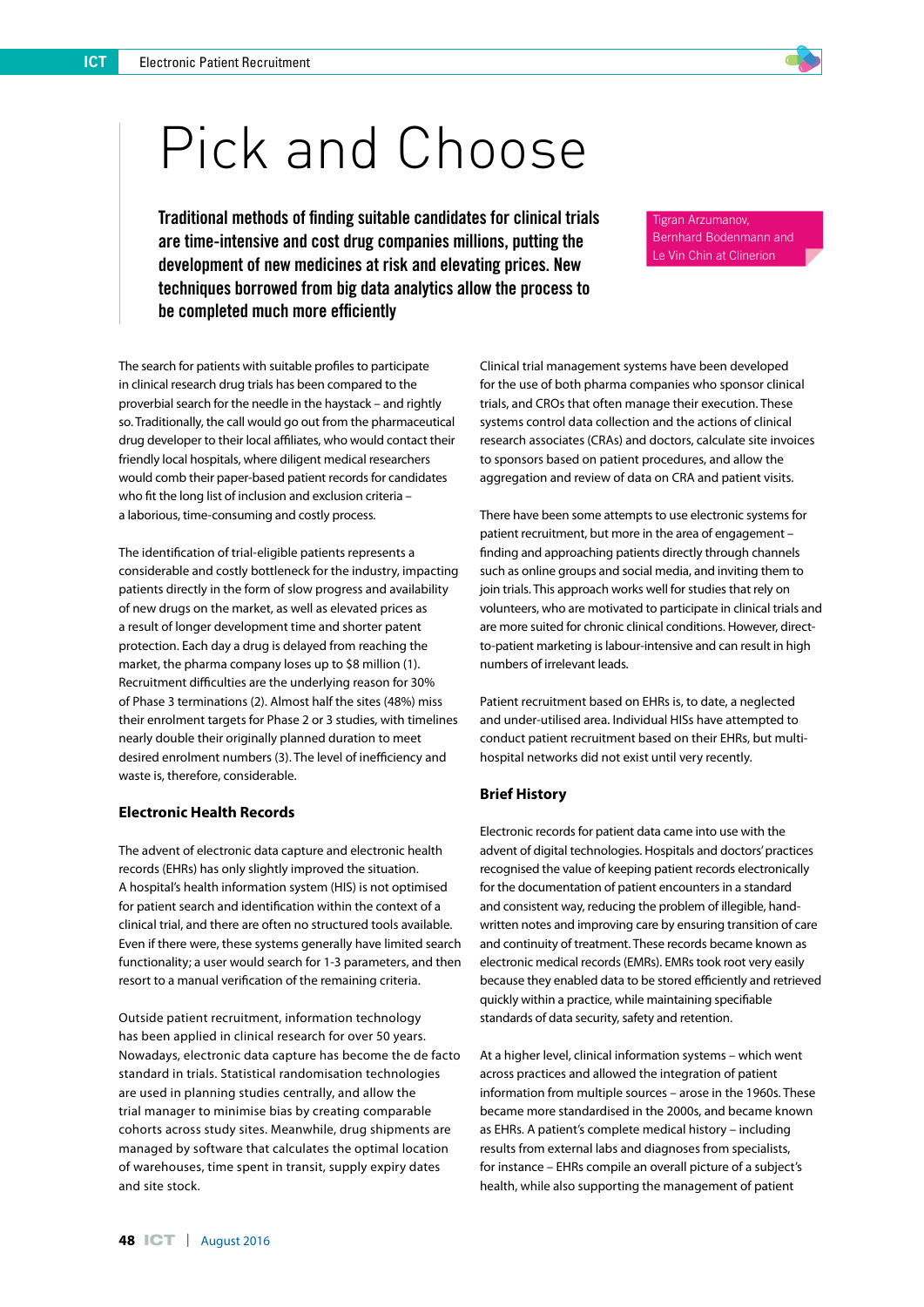# Pick and Choose

Traditional methods of finding suitable candidates for clinical trials are time-intensive and cost drug companies millions, putting the development of new medicines at risk and elevating prices. New techniques borrowed from big data analytics allow the process to be completed much more efficiently

The search for patients with suitable profiles to participate in clinical research drug trials has been compared to the proverbial search for the needle in the haystack – and rightly so. Traditionally, the call would go out from the pharmaceutical drug developer to their local affiliates, who would contact their friendly local hospitals, where diligent medical researchers would comb their paper-based patient records for candidates who fit the long list of inclusion and exclusion criteria – a laborious, time-consuming and costly process.

The identification of trial-eligible patients represents a considerable and costly bottleneck for the industry, impacting patients directly in the form of slow progress and availability of new drugs on the market, as well as elevated prices as a result of longer development time and shorter patent protection. Each day a drug is delayed from reaching the market, the pharma company loses up to \$8 million (1). Recruitment difficulties are the underlying reason for 30% of Phase 3 terminations (2). Almost half the sites (48%) miss their enrolment targets for Phase 2 or 3 studies, with timelines nearly double their originally planned duration to meet desired enrolment numbers (3). The level of inefficiency and waste is, therefore, considerable.

#### **Electronic Health Records**

The advent of electronic data capture and electronic health records (EHRs) has only slightly improved the situation. A hospital's health information system (HIS) is not optimised for patient search and identification within the context of a clinical trial, and there are often no structured tools available. Even if there were, these systems generally have limited search functionality; a user would search for 1-3 parameters, and then resort to a manual verification of the remaining criteria.

Outside patient recruitment, information technology has been applied in clinical research for over 50 years. Nowadays, electronic data capture has become the de facto standard in trials. Statistical randomisation technologies are used in planning studies centrally, and allow the trial manager to minimise bias by creating comparable cohorts across study sites. Meanwhile, drug shipments are managed by software that calculates the optimal location of warehouses, time spent in transit, supply expiry dates and site stock.

Clinical trial management systems have been developed for the use of both pharma companies who sponsor clinical trials, and CROs that often manage their execution. These systems control data collection and the actions of clinical research associates (CRAs) and doctors, calculate site invoices to sponsors based on patient procedures, and allow the aggregation and review of data on CRA and patient visits.

Tigran Arzumanov, Bernhard Bodenmann and Le Vin Chin at Clinerion

There have been some attempts to use electronic systems for patient recruitment, but more in the area of engagement – finding and approaching patients directly through channels such as online groups and social media, and inviting them to join trials. This approach works well for studies that rely on volunteers, who are motivated to participate in clinical trials and are more suited for chronic clinical conditions. However, directto-patient marketing is labour-intensive and can result in high numbers of irrelevant leads.

Patient recruitment based on EHRs is, to date, a neglected and under-utilised area. Individual HISs have attempted to conduct patient recruitment based on their EHRs, but multihospital networks did not exist until very recently.

### **Brief History**

Electronic records for patient data came into use with the advent of digital technologies. Hospitals and doctors' practices recognised the value of keeping patient records electronically for the documentation of patient encounters in a standard and consistent way, reducing the problem of illegible, handwritten notes and improving care by ensuring transition of care and continuity of treatment. These records became known as electronic medical records (EMRs). EMRs took root very easily because they enabled data to be stored efficiently and retrieved quickly within a practice, while maintaining specifiable standards of data security, safety and retention.

At a higher level, clinical information systems – which went across practices and allowed the integration of patient information from multiple sources – arose in the 1960s. These became more standardised in the 2000s, and became known as EHRs. A patient's complete medical history – including results from external labs and diagnoses from specialists, for instance – EHRs compile an overall picture of a subject's health, while also supporting the management of patient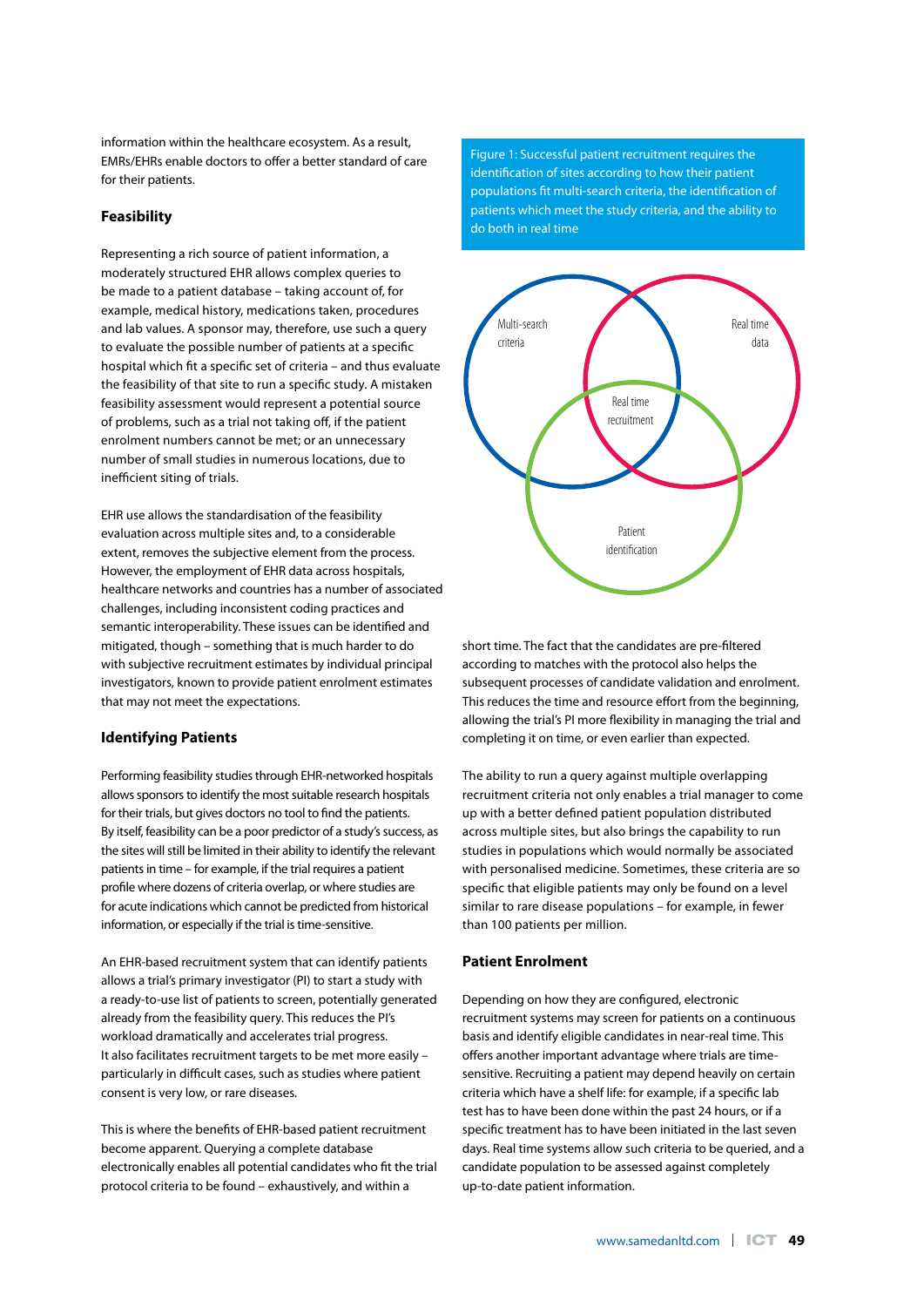EMRs/EHRs enable doctors to offer a better standard of care for their patients.

## **Feasibility**

information within the healthcare ecosystem. As a result,<br>
EMIRS:EHRS enable doctors to offer a better standard of care<br>
Enfinication of sites according to<br>
for their patients.<br>
for their patients.<br>
The patients with the m Representing a rich source of patient information, a moderately structured EHR allows complex queries to be made to a patient database – taking account of, for example, medical history, medications taken, procedures and lab values. A sponsor may, therefore, use such a query to evaluate the possible number of patients at a specific hospital which fit a specific set of criteria – and thus evaluate the feasibility of that site to run a specific study. A mistaken feasibility assessment would represent a potential source of problems, such as a trial not taking off, if the patient enrolment numbers cannot be met; or an unnecessary number of small studies in numerous locations, due to inefficient siting of trials.

EHR use allows the standardisation of the feasibility evaluation across multiple sites and, to a considerable extent, removes the subjective element from the process. However, the employment of EHR data across hospitals, healthcare networks and countries has a number of associated challenges, including inconsistent coding practices and semantic interoperability. These issues can be identified and mitigated, though – something that is much harder to do with subjective recruitment estimates by individual principal investigators, known to provide patient enrolment estimates that may not meet the expectations.

### **Identifying Patients**

Performing feasibility studies through EHR-networked hospitals allows sponsors to identify the most suitable research hospitals for their trials, but gives doctors no tool to find the patients. By itself, feasibility can be a poor predictor of a study's success, as the sites will still be limited in their ability to identify the relevant patients in time – for example, if the trial requires a patient profile where dozens of criteria overlap, or where studies are for acute indications which cannot be predicted from historical information, or especially if the trial is time-sensitive.

An EHR-based recruitment system that can identify patients allows a trial's primary investigator (PI) to start a study with a ready-to-use list of patients to screen, potentially generated already from the feasibility query. This reduces the PI's workload dramatically and accelerates trial progress. It also facilitates recruitment targets to be met more easily – particularly in difficult cases, such as studies where patient consent is very low, or rare diseases.

This is where the benefits of EHR-based patient recruitment become apparent. Querying a complete database electronically enables all potential candidates who fit the trial protocol criteria to be found – exhaustively, and within a

Figure 1: Successful patient recruitment requires the identification of sites according to how their patient populations fit multi-search criteria, the identification of patients which meet the study criteria, and the ability to do both in real time



short time. The fact that the candidates are pre-filtered according to matches with the protocol also helps the subsequent processes of candidate validation and enrolment. This reduces the time and resource effort from the beginning, allowing the trial's PI more flexibility in managing the trial and completing it on time, or even earlier than expected.

The ability to run a query against multiple overlapping recruitment criteria not only enables a trial manager to come up with a better defined patient population distributed across multiple sites, but also brings the capability to run studies in populations which would normally be associated with personalised medicine. Sometimes, these criteria are so specific that eligible patients may only be found on a level similar to rare disease populations – for example, in fewer than 100 patients per million.

### **Patient Enrolment**

Depending on how they are configured, electronic recruitment systems may screen for patients on a continuous basis and identify eligible candidates in near-real time. This offers another important advantage where trials are timesensitive. Recruiting a patient may depend heavily on certain criteria which have a shelf life: for example, if a specific lab test has to have been done within the past 24 hours, or if a specific treatment has to have been initiated in the last seven days. Real time systems allow such criteria to be queried, and a candidate population to be assessed against completely up-to-date patient information.